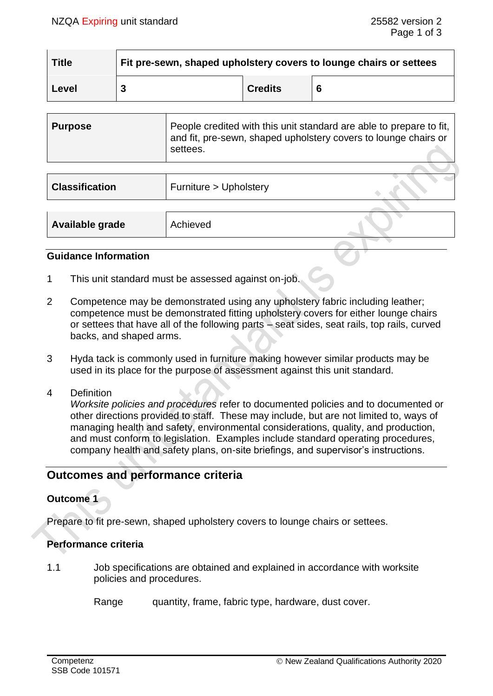| <b>Title</b> | Fit pre-sewn, shaped upholstery covers to lounge chairs or settees |                |   |
|--------------|--------------------------------------------------------------------|----------------|---|
| Level        |                                                                    | <b>Credits</b> | 6 |

| Purpose | People credited with this unit standard are able to prepare to fit,  <br>and fit, pre-sewn, shaped upholstery covers to lounge chairs or<br>settees. |
|---------|------------------------------------------------------------------------------------------------------------------------------------------------------|
|         |                                                                                                                                                      |

| <b>Classification</b> | Furniture > Upholstery |  |
|-----------------------|------------------------|--|
|                       |                        |  |
| Available grade       | Achieved               |  |

#### **Guidance Information**

- 1 This unit standard must be assessed against on-job.
- 2 Competence may be demonstrated using any upholstery fabric including leather; competence must be demonstrated fitting upholstery covers for either lounge chairs or settees that have all of the following parts – seat sides, seat rails, top rails, curved backs, and shaped arms.
- 3 Hyda tack is commonly used in furniture making however similar products may be used in its place for the purpose of assessment against this unit standard.
- 4 Definition

*Worksite policies and procedures* refer to documented policies and to documented or other directions provided to staff. These may include, but are not limited to, ways of managing health and safety, environmental considerations, quality, and production, and must conform to legislation. Examples include standard operating procedures, company health and safety plans, on-site briefings, and supervisor's instructions.

# **Outcomes and performance criteria**

# **Outcome 1**

Prepare to fit pre-sewn, shaped upholstery covers to lounge chairs or settees.

### **Performance criteria**

- 1.1 Job specifications are obtained and explained in accordance with worksite policies and procedures.
	- Range quantity, frame, fabric type, hardware, dust cover.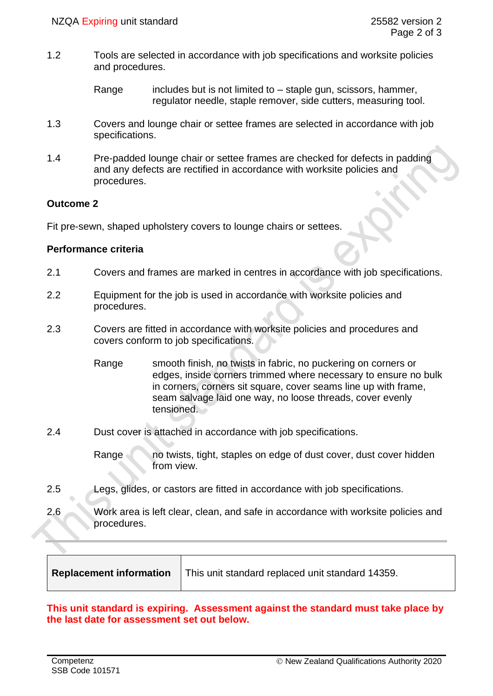- 1.2 Tools are selected in accordance with job specifications and worksite policies and procedures.
	- Range includes but is not limited to  $-$  staple gun, scissors, hammer, regulator needle, staple remover, side cutters, measuring tool.
- 1.3 Covers and lounge chair or settee frames are selected in accordance with job specifications.
- 1.4 Pre-padded lounge chair or settee frames are checked for defects in padding and any defects are rectified in accordance with worksite policies and procedures.

## **Outcome 2**

Fit pre-sewn, shaped upholstery covers to lounge chairs or settees.

# **Performance criteria**

- 2.1 Covers and frames are marked in centres in accordance with job specifications.
- 2.2 Equipment for the job is used in accordance with worksite policies and procedures.
- 2.3 Covers are fitted in accordance with worksite policies and procedures and covers conform to job specifications.
	- Range smooth finish, no twists in fabric, no puckering on corners or edges, inside corners trimmed where necessary to ensure no bulk in corners, corners sit square, cover seams line up with frame, seam salvage laid one way, no loose threads, cover evenly tensioned.
- 2.4 Dust cover is attached in accordance with job specifications.

Range no twists, tight, staples on edge of dust cover, dust cover hidden from view.

- 2.5 Legs, glides, or castors are fitted in accordance with job specifications.
- 2.6 Work area is left clear, clean, and safe in accordance with worksite policies and procedures.

| <b>Replacement information</b> | This unit standard replaced unit standard 14359. |
|--------------------------------|--------------------------------------------------|
|--------------------------------|--------------------------------------------------|

#### **This unit standard is expiring. Assessment against the standard must take place by the last date for assessment set out below.**